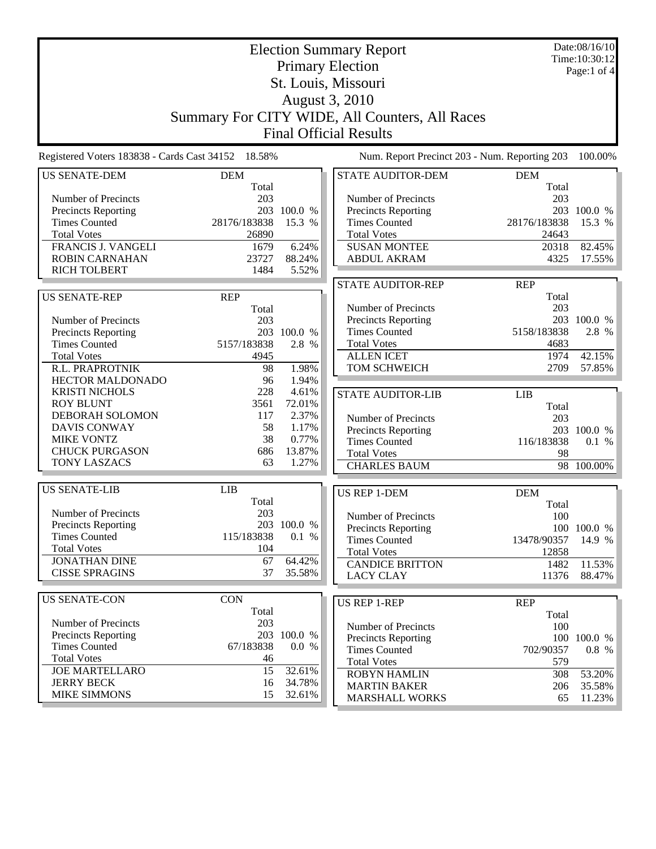| <b>Election Summary Report</b>                     |               |                 | Date:08/16/10<br>Time:10:30:12                |               |             |
|----------------------------------------------------|---------------|-----------------|-----------------------------------------------|---------------|-------------|
| <b>Primary Election</b>                            |               |                 |                                               | Page:1 of $4$ |             |
| St. Louis, Missouri                                |               |                 |                                               |               |             |
| August 3, 2010                                     |               |                 |                                               |               |             |
| Summary For CITY WIDE, All Counters, All Races     |               |                 |                                               |               |             |
|                                                    |               |                 |                                               |               |             |
| <b>Final Official Results</b>                      |               |                 |                                               |               |             |
| Registered Voters 183838 - Cards Cast 34152 18.58% |               |                 | Num. Report Precinct 203 - Num. Reporting 203 |               | 100.00%     |
| <b>US SENATE-DEM</b>                               | <b>DEM</b>    |                 | <b>STATE AUDITOR-DEM</b>                      | <b>DEM</b>    |             |
|                                                    | Total         |                 |                                               | Total         |             |
| Number of Precincts                                | 203           |                 | Number of Precincts                           | 203           |             |
| <b>Precincts Reporting</b>                         |               | 203 100.0 %     | <b>Precincts Reporting</b>                    |               | 203 100.0 % |
| <b>Times Counted</b>                               | 28176/183838  | 15.3 %          | <b>Times Counted</b>                          | 28176/183838  | 15.3 %      |
| <b>Total Votes</b><br><b>FRANCIS J. VANGELI</b>    | 26890<br>1679 | 6.24%           | <b>Total Votes</b><br><b>SUSAN MONTEE</b>     | 24643         |             |
| <b>ROBIN CARNAHAN</b>                              | 23727         | 88.24%          | <b>ABDUL AKRAM</b>                            | 20318         | 82.45%      |
| <b>RICH TOLBERT</b>                                | 1484          |                 |                                               | 4325          | 17.55%      |
|                                                    |               | 5.52%           |                                               |               |             |
|                                                    |               |                 | <b>STATE AUDITOR-REP</b>                      | <b>REP</b>    |             |
| <b>US SENATE-REP</b>                               | <b>REP</b>    |                 |                                               | Total         |             |
|                                                    | Total         |                 | Number of Precincts                           | 203           |             |
| Number of Precincts                                | 203           |                 | Precincts Reporting                           |               | 203 100.0 % |
| <b>Precincts Reporting</b>                         |               | 203 100.0 %     | <b>Times Counted</b>                          | 5158/183838   | 2.8 %       |
| <b>Times Counted</b>                               | 5157/183838   | 2.8 %           | <b>Total Votes</b>                            | 4683          |             |
| <b>Total Votes</b>                                 | 4945          |                 | <b>ALLEN ICET</b>                             | 1974          | 42.15%      |
| R.L. PRAPROTNIK                                    | 98            | 1.98%           | TOM SCHWEICH                                  | 2709          | 57.85%      |
| <b>HECTOR MALDONADO</b>                            | 96            | 1.94%           |                                               |               |             |
| <b>KRISTI NICHOLS</b>                              | 228           | 4.61%           | <b>STATE AUDITOR-LIB</b>                      | LIB           |             |
| <b>ROY BLUNT</b>                                   | 3561          | 72.01%          |                                               | Total         |             |
| DEBORAH SOLOMON                                    | 117           | 2.37%           | Number of Precincts                           | 203           |             |
| <b>DAVIS CONWAY</b>                                | 58<br>38      | 1.17%           | Precincts Reporting                           |               | 203 100.0 % |
| <b>MIKE VONTZ</b><br><b>CHUCK PURGASON</b>         |               | 0.77%<br>13.87% | <b>Times Counted</b>                          | 116/183838    | 0.1 %       |
| <b>TONY LASZACS</b>                                | 686<br>63     | 1.27%           | <b>Total Votes</b>                            | 98            |             |
|                                                    |               |                 | <b>CHARLES BAUM</b>                           | 98            | 100.00%     |
| <b>US SENATE-LIB</b>                               | <b>LIB</b>    |                 | <b>US REP 1-DEM</b>                           | <b>DEM</b>    |             |
|                                                    | Total         |                 |                                               | Total         |             |
| Number of Precincts                                | 203           |                 | Number of Precincts                           | 100           |             |
| <b>Precincts Reporting</b>                         |               | 203 100.0 %     | <b>Precincts Reporting</b>                    |               | 100 100.0 % |
| <b>Times Counted</b>                               | 115/183838    | 0.1 %           | <b>Times Counted</b>                          | 13478/90357   | 14.9 %      |
| <b>Total Votes</b>                                 | 104           |                 | <b>Total Votes</b>                            | 12858         |             |
| <b>JONATHAN DINE</b>                               | 67            | 64.42%          | <b>CANDICE BRITTON</b>                        | 1482          | 11.53%      |
| <b>CISSE SPRAGINS</b>                              | 37            | 35.58%          | <b>LACY CLAY</b>                              | 11376         | 88.47%      |
|                                                    |               |                 |                                               |               |             |
| <b>US SENATE-CON</b>                               | <b>CON</b>    |                 | <b>US REP 1-REP</b>                           | <b>REP</b>    |             |
|                                                    | Total         |                 |                                               | Total         |             |
| Number of Precincts                                | 203           |                 | Number of Precincts                           | 100           |             |
| Precincts Reporting                                |               | 203 100.0 %     | Precincts Reporting                           |               | 100 100.0 % |
| <b>Times Counted</b>                               | 67/183838     | 0.0 %           | <b>Times Counted</b>                          | 702/90357     | 0.8 %       |
| <b>Total Votes</b>                                 | 46            |                 | <b>Total Votes</b>                            | 579           |             |
| <b>JOE MARTELLARO</b>                              | 15            | 32.61%          | <b>ROBYN HAMLIN</b>                           | 308           | 53.20%      |
| <b>JERRY BECK</b>                                  | 16            | 34.78%          | <b>MARTIN BAKER</b>                           | 206           | 35.58%      |
| <b>MIKE SIMMONS</b>                                | 15            | 32.61%          | <b>MARSHALL WORKS</b>                         | 65            | 11.23%      |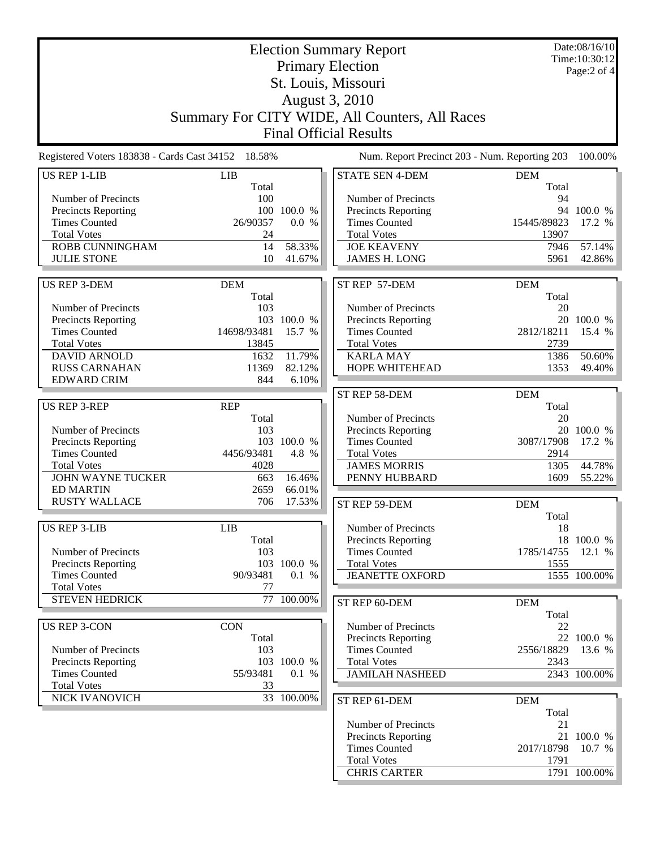| <b>Election Summary Report</b>                                                                      |                                                |                   |                                             | Date:08/16/10<br>Time: 10:30:12 |                      |
|-----------------------------------------------------------------------------------------------------|------------------------------------------------|-------------------|---------------------------------------------|---------------------------------|----------------------|
| <b>Primary Election</b>                                                                             |                                                |                   | Page:2 of 4                                 |                                 |                      |
| St. Louis, Missouri                                                                                 |                                                |                   |                                             |                                 |                      |
|                                                                                                     |                                                |                   | August 3, 2010                              |                                 |                      |
|                                                                                                     |                                                |                   |                                             |                                 |                      |
|                                                                                                     | Summary For CITY WIDE, All Counters, All Races |                   |                                             |                                 |                      |
|                                                                                                     | <b>Final Official Results</b>                  |                   |                                             |                                 |                      |
| Registered Voters 183838 - Cards Cast 34152 18.58%<br>Num. Report Precinct 203 - Num. Reporting 203 |                                                |                   |                                             | 100.00%                         |                      |
| <b>US REP 1-LIB</b>                                                                                 | LIB                                            |                   | <b>STATE SEN 4-DEM</b>                      | <b>DEM</b>                      |                      |
|                                                                                                     | Total                                          |                   |                                             | Total                           |                      |
| Number of Precincts<br>Precincts Reporting                                                          | 100<br>100                                     | 100.0 %           | Number of Precincts<br>Precincts Reporting  | 94                              | 94 100.0 %           |
| <b>Times Counted</b>                                                                                | 26/90357                                       | 0.0 %             | <b>Times Counted</b>                        | 15445/89823                     | 17.2 %               |
| <b>Total Votes</b>                                                                                  | 24                                             |                   | <b>Total Votes</b>                          | 13907                           |                      |
| ROBB CUNNINGHAM                                                                                     | 14                                             | 58.33%            | <b>JOE KEAVENY</b>                          | 7946                            | 57.14%               |
| <b>JULIE STONE</b>                                                                                  | 10                                             | 41.67%            | <b>JAMES H. LONG</b>                        | 5961                            | 42.86%               |
|                                                                                                     |                                                |                   |                                             |                                 |                      |
| <b>US REP 3-DEM</b>                                                                                 | <b>DEM</b>                                     |                   | ST REP 57-DEM                               | <b>DEM</b>                      |                      |
|                                                                                                     | Total                                          |                   |                                             | Total                           |                      |
| Number of Precincts                                                                                 | 103                                            |                   | Number of Precincts                         | 20                              |                      |
| Precincts Reporting<br><b>Times Counted</b>                                                         | 103<br>14698/93481                             | 100.0 %<br>15.7 % | Precincts Reporting<br><b>Times Counted</b> | 2812/18211                      | 20 100.0 %<br>15.4 % |
| <b>Total Votes</b>                                                                                  | 13845                                          |                   | <b>Total Votes</b>                          | 2739                            |                      |
| <b>DAVID ARNOLD</b>                                                                                 | 1632                                           | 11.79%            | <b>KARLA MAY</b>                            | 1386                            | 50.60%               |
| <b>RUSS CARNAHAN</b>                                                                                | 11369                                          | 82.12%            | HOPE WHITEHEAD                              | 1353                            | 49.40%               |
| <b>EDWARD CRIM</b>                                                                                  | 844                                            | 6.10%             |                                             |                                 |                      |
|                                                                                                     |                                                |                   | ST REP 58-DEM                               | <b>DEM</b>                      |                      |
| <b>US REP 3-REP</b>                                                                                 | <b>REP</b>                                     |                   |                                             | Total                           |                      |
|                                                                                                     | Total                                          |                   | Number of Precincts                         | 20                              |                      |
| Number of Precincts                                                                                 | 103                                            |                   | <b>Precincts Reporting</b>                  |                                 | 20 100.0 %           |
| <b>Precincts Reporting</b>                                                                          | 103                                            | 100.0 %           | <b>Times Counted</b>                        | 3087/17908                      | 17.2 %               |
| <b>Times Counted</b><br><b>Total Votes</b>                                                          | 4456/93481<br>4028                             | 4.8 %             | <b>Total Votes</b><br><b>JAMES MORRIS</b>   | 2914<br>1305                    | 44.78%               |
| <b>JOHN WAYNE TUCKER</b>                                                                            | 663                                            | 16.46%            | PENNY HUBBARD                               | 1609                            | 55.22%               |
| <b>ED MARTIN</b>                                                                                    | 2659                                           | 66.01%            |                                             |                                 |                      |
| <b>RUSTY WALLACE</b>                                                                                | 706                                            | 17.53%            | ST REP 59-DEM                               | <b>DEM</b>                      |                      |
|                                                                                                     |                                                |                   |                                             | Total                           |                      |
| <b>US REP 3-LIB</b>                                                                                 | LIB                                            |                   | Number of Precincts                         | 18                              |                      |
|                                                                                                     | Total                                          |                   | <b>Precincts Reporting</b>                  |                                 | 18 100.0 %           |
| Number of Precincts                                                                                 | 103                                            |                   | <b>Times Counted</b>                        | 1785/14755                      | 12.1 %               |
| Precincts Reporting                                                                                 |                                                | 103 100.0 %       | <b>Total Votes</b>                          | 1555                            |                      |
| <b>Times Counted</b>                                                                                | 90/93481                                       | 0.1 %             | <b>JEANETTE OXFORD</b>                      |                                 | 1555 100.00%         |
| <b>Total Votes</b><br><b>STEVEN HEDRICK</b>                                                         | 77                                             | 77 100.00%        |                                             |                                 |                      |
|                                                                                                     |                                                |                   | ST REP 60-DEM                               | <b>DEM</b>                      |                      |
| <b>US REP 3-CON</b>                                                                                 | <b>CON</b>                                     |                   | Number of Precincts                         | Total<br>22                     |                      |
|                                                                                                     | Total                                          |                   | Precincts Reporting                         |                                 | 22 100.0 %           |
| Number of Precincts                                                                                 | 103                                            |                   | <b>Times Counted</b>                        | 2556/18829                      | 13.6 %               |
| Precincts Reporting                                                                                 |                                                | 103 100.0 %       | <b>Total Votes</b>                          | 2343                            |                      |
| <b>Times Counted</b>                                                                                | 55/93481                                       | 0.1 %             | <b>JAMILAH NASHEED</b>                      |                                 | 2343 100.00%         |
| <b>Total Votes</b>                                                                                  | 33                                             |                   |                                             |                                 |                      |
| NICK IVANOVICH                                                                                      |                                                | 33 100.00%        | ST REP 61-DEM                               | <b>DEM</b>                      |                      |
|                                                                                                     |                                                |                   |                                             | Total                           |                      |
|                                                                                                     |                                                |                   | Number of Precincts                         | 21                              |                      |
|                                                                                                     |                                                |                   | Precincts Reporting                         |                                 | 21 100.0 %           |
|                                                                                                     |                                                |                   | <b>Times Counted</b><br><b>Total Votes</b>  | 2017/18798<br>1791              | 10.7 %               |
|                                                                                                     |                                                |                   | <b>CHRIS CARTER</b>                         |                                 | 1791 100.00%         |
|                                                                                                     |                                                |                   |                                             |                                 |                      |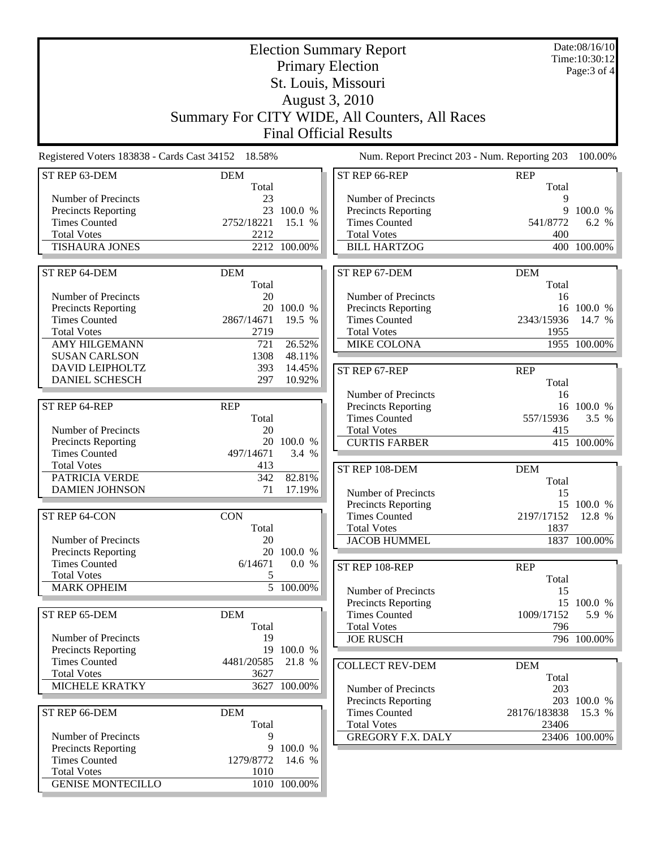| <b>Election Summary Report</b><br><b>Primary Election</b><br>St. Louis, Missouri |                                                    |                      |                                                    | Date:08/16/10<br>Time: 10:30:12<br>Page: 3 of 4 |                      |
|----------------------------------------------------------------------------------|----------------------------------------------------|----------------------|----------------------------------------------------|-------------------------------------------------|----------------------|
|                                                                                  |                                                    |                      |                                                    |                                                 |                      |
|                                                                                  |                                                    |                      | August 3, 2010                                     |                                                 |                      |
|                                                                                  |                                                    |                      | Summary For CITY WIDE, All Counters, All Races     |                                                 |                      |
|                                                                                  |                                                    |                      | <b>Final Official Results</b>                      |                                                 |                      |
|                                                                                  | Registered Voters 183838 - Cards Cast 34152 18.58% |                      | Num. Report Precinct 203 - Num. Reporting 203      |                                                 | 100.00%              |
| ST REP 63-DEM                                                                    | <b>DEM</b>                                         |                      | ST REP 66-REP                                      | <b>REP</b>                                      |                      |
| Number of Precincts                                                              | Total<br>23                                        |                      | Number of Precincts                                | Total<br>9                                      |                      |
| Precincts Reporting                                                              |                                                    | 23 100.0 %           | <b>Precincts Reporting</b>                         | 9                                               | 100.0 %              |
| <b>Times Counted</b>                                                             | 2752/18221                                         | 15.1 %               | <b>Times Counted</b>                               | 541/8772                                        | 6.2 %                |
| <b>Total Votes</b>                                                               | 2212                                               |                      | <b>Total Votes</b>                                 | 400                                             |                      |
| <b>TISHAURA JONES</b>                                                            |                                                    | 2212 100.00%         | <b>BILL HARTZOG</b>                                |                                                 | 400 100.00%          |
| ST REP 64-DEM                                                                    | <b>DEM</b>                                         |                      | ST REP 67-DEM                                      | <b>DEM</b>                                      |                      |
|                                                                                  | Total                                              |                      |                                                    | Total                                           |                      |
| Number of Precincts                                                              | 20                                                 |                      | Number of Precincts                                | 16                                              |                      |
| <b>Precincts Reporting</b><br><b>Times Counted</b>                               | 20<br>2867/14671                                   | 100.0 %<br>19.5 %    | <b>Precincts Reporting</b><br><b>Times Counted</b> | 2343/15936                                      | 16 100.0 %<br>14.7 % |
| <b>Total Votes</b>                                                               | 2719                                               |                      | <b>Total Votes</b>                                 | 1955                                            |                      |
| <b>AMY HILGEMANN</b>                                                             | 721                                                | 26.52%               | <b>MIKE COLONA</b>                                 |                                                 | 1955 100.00%         |
| <b>SUSAN CARLSON</b>                                                             | 1308                                               | 48.11%               |                                                    |                                                 |                      |
| <b>DAVID LEIPHOLTZ</b>                                                           | 393                                                | 14.45%               | ST REP 67-REP                                      | <b>REP</b>                                      |                      |
| <b>DANIEL SCHESCH</b>                                                            | 297                                                | 10.92%               |                                                    | Total                                           |                      |
|                                                                                  |                                                    |                      | Number of Precincts                                | 16                                              |                      |
| ST REP 64-REP                                                                    | <b>REP</b>                                         |                      | Precincts Reporting                                |                                                 | 16 100.0 %           |
|                                                                                  | Total                                              |                      | <b>Times Counted</b>                               | 557/15936                                       | 3.5 %                |
| Number of Precincts<br>Precincts Reporting                                       | 20                                                 | 20 100.0 %           | <b>Total Votes</b><br><b>CURTIS FARBER</b>         | 415                                             | 415 100.00%          |
| <b>Times Counted</b>                                                             | 497/14671                                          | 3.4 %                |                                                    |                                                 |                      |
| <b>Total Votes</b>                                                               | 413                                                |                      | ST REP 108-DEM                                     | <b>DEM</b>                                      |                      |
| PATRICIA VERDE                                                                   | 342                                                | 82.81%               |                                                    | Total                                           |                      |
| <b>DAMIEN JOHNSON</b>                                                            | 71                                                 | 17.19%               | Number of Precincts                                | 15                                              |                      |
|                                                                                  |                                                    |                      | <b>Precincts Reporting</b>                         |                                                 | 15 100.0 %           |
| ST REP 64-CON                                                                    | <b>CON</b>                                         |                      | <b>Times Counted</b>                               | 2197/17152 12.8 %                               |                      |
|                                                                                  | Total                                              |                      | <b>Total Votes</b>                                 | 1837                                            |                      |
| Number of Precincts<br><b>Precincts Reporting</b>                                | 20<br>20                                           | 100.0 %              | <b>JACOB HUMMEL</b>                                |                                                 | 1837 100.00%         |
| <b>Times Counted</b>                                                             | 6/14671                                            | 0.0 %                | ST REP 108-REP                                     | <b>REP</b>                                      |                      |
| <b>Total Votes</b>                                                               | 5                                                  |                      |                                                    | Total                                           |                      |
| <b>MARK OPHEIM</b>                                                               |                                                    | 5 100.00%            | Number of Precincts                                | 15                                              |                      |
|                                                                                  |                                                    |                      | Precincts Reporting                                |                                                 | 15 100.0 %           |
| ST REP 65-DEM                                                                    | <b>DEM</b>                                         |                      | <b>Times Counted</b>                               | 1009/17152                                      | 5.9 %                |
|                                                                                  | Total                                              |                      | <b>Total Votes</b>                                 | 796                                             |                      |
| Number of Precincts                                                              | 19                                                 |                      | <b>JOE RUSCH</b>                                   |                                                 | 796 100.00%          |
| <b>Precincts Reporting</b><br><b>Times Counted</b>                               | 4481/20585                                         | 19 100.0 %<br>21.8 % |                                                    |                                                 |                      |
| <b>Total Votes</b>                                                               | 3627                                               |                      | <b>COLLECT REV-DEM</b>                             | <b>DEM</b><br>Total                             |                      |
| MICHELE KRATKY                                                                   |                                                    | 3627 100.00%         | Number of Precincts                                | 203                                             |                      |
|                                                                                  |                                                    |                      | <b>Precincts Reporting</b>                         |                                                 | 203 100.0 %          |
| ST REP 66-DEM                                                                    | <b>DEM</b>                                         |                      | <b>Times Counted</b>                               | 28176/183838                                    | 15.3 %               |
|                                                                                  | Total                                              |                      | <b>Total Votes</b>                                 | 23406                                           |                      |
| Number of Precincts                                                              | 9                                                  |                      | <b>GREGORY F.X. DALY</b>                           |                                                 | 23406 100.00%        |
| Precincts Reporting                                                              | 9<br>1279/8772                                     | 100.0 %              |                                                    |                                                 |                      |
| <b>Times Counted</b><br><b>Total Votes</b>                                       | 1010                                               | 14.6 %               |                                                    |                                                 |                      |
| <b>GENISE MONTECILLO</b>                                                         |                                                    | 1010 100.00%         |                                                    |                                                 |                      |
|                                                                                  |                                                    |                      |                                                    |                                                 |                      |